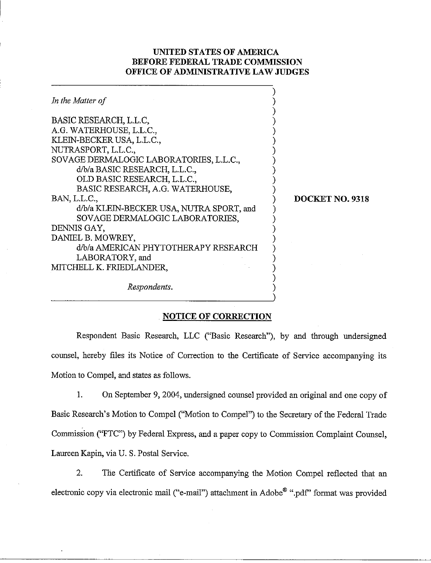## UNITED STATES OF AMERICA BEFORE FEDERAL TRADE COMMISSION OFFICE OF ADMINISTRATIVE LAW JUDGES

| In the Matter of                         |                 |
|------------------------------------------|-----------------|
| BASIC RESEARCH, L.L.C.                   |                 |
| A.G. WATERHOUSE, L.L.C.,                 |                 |
| KLEIN-BECKER USA, L.L.C.,                |                 |
| NUTRASPORT, L.L.C.,                      |                 |
| SOVAGE DERMALOGIC LABORATORIES, L.L.C.,  |                 |
| d/b/a BASIC RESEARCH, L.L.C.,            |                 |
| OLD BASIC RESEARCH, L.L.C.,              |                 |
| BASIC RESEARCH, A.G. WATERHOUSE,         |                 |
| BAN, L.L.C.,                             | DOCKET NO. 9318 |
| d/b/a KLEIN-BECKER USA, NUTRA SPORT, and |                 |
| SOVAGE DERMALOGIC LABORATORIES,          |                 |
| DENNIS GAY,                              |                 |
| DANIEL B. MOWREY,                        |                 |
| d/b/a AMERICAN PHYTOTHERAPY RESEARCH     |                 |
| LABORATORY, and                          |                 |
| MITCHELL K. FRIEDLANDER,                 |                 |
|                                          |                 |
| Respondents.                             |                 |
|                                          |                 |

## NOTICE OF CORRECTION

Respondent Basic Research, LLC ("Basic Research"), by and through undersigned counsel, hereby files its Notice of Correction to the Certificate of Service accompanying its Motion to Compel, and states as follows.

1. On September 9,2004, undersigned counsel provided an original and one copy of Basic Research's Motion to Compel ("Motion to Compel") to the Secretary of the Federal Trade Commission ("FTC") by Federal Express, and a paper copy to Commission Complaint Counsel, Laureen Kapin, via U. S. Postal Service.

2. The Certificate of Service accompanying the Motion Compel reflected that an electronic copy via electronic mail ("e-mail") attachment in  $\text{Adobe}^{\mathfrak{G}}$  ".pdf" format was provided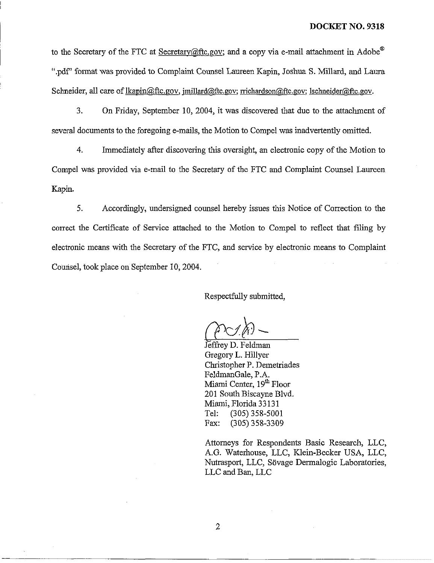to the Secretary of the FTC at Secretary  $\omega$ ftc.gov; and a copy via e-mail attachment in Adobe<sup>®</sup> ".pdf" format was provided to Complaint Counsel Laureen Kapin, Joshua S. Millard, and Laura Schneider, all care of lkapin@ftc.gov, jmillard@ftc.gov; rrichardson@ftc.gov; lschneider@ftc.gov.

3. On Friday, September 10, 2004, it was discovered that due to the attachment of several documents to the foregoing e-mails, the Motion to Compel was inadvertently omitted.

4. Immediately after discovering this oversight, an electronic copy of the Motion to Compel was provided via e-mail to the Secretary of the FTC and Complaint Counsel Laureen Kapin.

5. Accordingly, undersigned counsel hereby issues this Notice of Correction to the correct the Certificate of Service attached to the Motion to Compel to reflect that filing by electronic means with the Secretary of the FTC, and service by electronic means to Complaint Counsel, took place on September 10,2004.

Respectfully submitted,

Jeffrey D. Feldman<br>Gregory L. Hillyer Christopher P. Demetriades FeldmanGale, P.A. Miami Center, 19" Floor 201 South Biscayne Blvd. Miami, Florida 33 13 1 Tel: (305) 358-5001 Fax: (305) 358-3309

Attorneys for Respondents Basic Research, LLC, A.G. Waterhouse, LLC, Klein-Becker USA, LLC, Nutrasport, LLC, Sovage Dermalogic Laboratories, LLC and Ban, LLC

 $\overline{2}$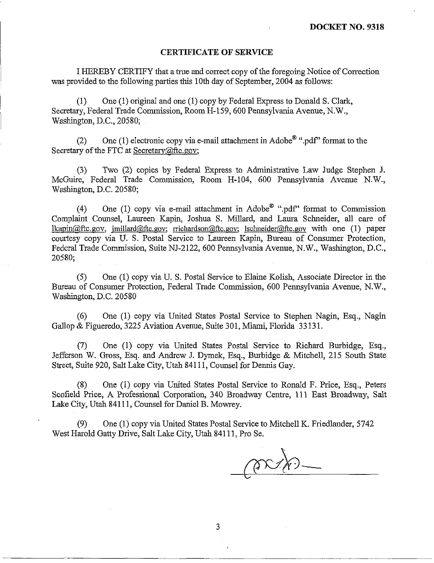## **CERTIFICATE OF SERVICE**

I HEREBY CERTIFY that a true and correct copy of the foregoing Notice of Correction was provided to the following parties this 10th day of September, 2004 as follows:

(1) One (1) original and one (1) copy by Federal Express to Donald S. Clark, Secretary, Federal Trade Commission, Room H-159, 600 Pennsylvania Avenue, N.W., Washington, D.C., 20580;

(2) One (1) electronic copy via e-mail attachment in Adobe<sup>®</sup> ".pdf" format to the Secretary of the FTC at Secretary@ftc.gov;

(3) Two (2) copies by Federal Express to Administrative Law Judge Stephen **J.**  McGuire, Federal Trade Conmission, Room H-104, 600 Pennsylvania Avenue N.W., Washington, D.C. 20580;

(4) One (1) copy via e-mail attachment in Adobe<sup>®</sup> ".pdf" format to Commission Complaint Counsel, Laureen Kapin, Joshua S. Millard, and Laura Schneider, all care of  $lkapin@ftc.gov, millard@ftc.gov; richardson@ftc.gov; Ischneider@ftc.gov with one (1) paper$ courtesy copy via U. S. Postal Service to Laureen Kapin, Bureau of Consumer Protection, Federal Trade Commission, Suite NJ-2122, 600 Pennsylvania Avenue, N.W., Washington, D.C., 20580;

**(5)** One (1) copy via U. S. Postal Service to Elaine Kolish, Associate Director in the Bureau of Consumer Protection, Federal Trade Commission, 600 Pennsylvania Avenue, N.W., Washington, D.C. 20580

(6) One (1) copy via United States Postal Service to Stephen Nagin, Esq., Nagin Gallop & Figueredo, 3225 Aviation Avenue, Suite 301, Miami, Florida 33 131.

(7) One (1) copy via United States Postal Service to Richard Burbidge, Esq., Jefferson W. Gross, Esq. and Andrew J. Dymek, Esq., Burbidge & Mitchell, 215 South State Street, Suite 920, Salt Lake City, Utah 841 11, Counsel for Dennis Gay.

(8) One (1) copy via United States Postal Service to Ronald F. Price, Esq., Peters Scofield Price, A Professional Corporation, 340 Broadway Centre, 111 East Broadway, Salt Lake City, Utah 841 11, Counsel for Daniel B. Mowrey.

(9) One (1) copy via United States Postal Service to Mitchell K. Friedlauder, 5742 West Harold Gatty Drive, Salt Lake City, Utah 841 11, Pro Se.

3